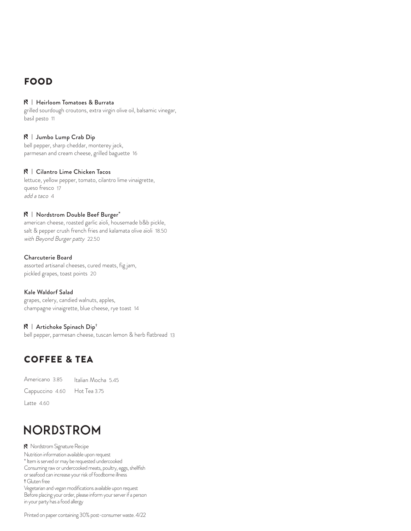# **FOOD**

#### N | Heirloom Tomatoes & Burrata

grilled sourdough croutons, extra virgin olive oil, balsamic vinegar, basil pesto 11

#### N | Jumbo Lump Crab Dip

bell pepper, sharp cheddar, monterey jack, parmesan and cream cheese, grilled baguette 16

#### N | Cilantro Lime Chicken Tacos

lettuce, yellow pepper, tomato, cilantro lime vinaigrette, queso fresco 17 add a taco 4

#### N | Nordstrom Double Beef Burger\*

american cheese, roasted garlic aïoli, housemade b&b pickle, salt & pepper crush french fries and kalamata olive aïoli 18.50 with Beyond Burger patty 22.50

#### Charcuterie Board

assorted artisanal cheeses, cured meats, fig jam, pickled grapes, toast points 20

#### Kale Waldorf Salad

grapes, celery, candied walnuts, apples, champagne vinaigrette, blue cheese, rye toast 14

#### $\mathbb{N}$  | Artichoke Spinach Dip<sup>+</sup>

bell pepper, parmesan cheese, tuscan lemon & herb flatbread 13

# **COFFEE & TEA**

|                              | Americano 3.85 ltalian Mocha 5.45 |
|------------------------------|-----------------------------------|
| Cappuccino 4.60 Hot Tea 3.75 |                                   |
| Latte $4.60$                 |                                   |

# **NORDSTROM**

N Nordstrom Signature Recipe Nutrition information available upon request \* Item is served or may be requested undercooked Consuming raw or undercooked meats, poultry, eggs, shellfish or seafood can increase your risk of foodborne illness † Gluten free Vegetarian and vegan modifications available upon request Before placing your order, please inform your server if a person in your party has a food allergy

Printed on paper containing 30% post-consumer waste. 4/22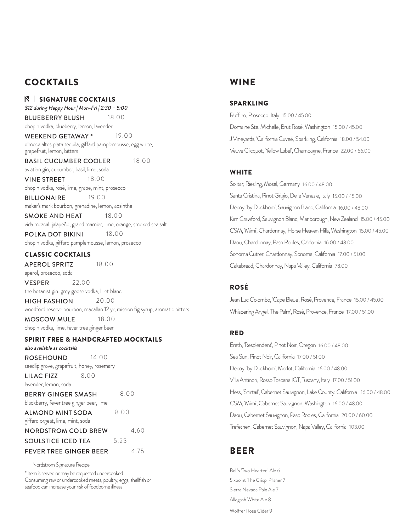## **COCKTAILS**

 $\mathsf{N} \parallel$  signature cocktails *\$12 during Happy Hour | Mon-Fri | 2:30 - 5:00* 

BLUEBERRY BLUSH 18.00 chopin vodka, blueberry, lemon, lavender

WEEKEND GETAWAY \* 19.00 olmeca altos plata tequila, giffard pamplemousse, egg white, grapefruit, lemon, bitters

BASIL CUCUMBER COOLER 18.00

aviation gin, cucumber, basil, lime, soda

**VINE STREET** 18.00 chopin vodka, rosé, lime, grape, mint, prosecco

**BILLIONAIRE** 19.00 maker's mark bourbon, grenadine, lemon, absinthe

**SMOKE AND HEAT** 18.00 vida mezcal, jalapeño, grand marnier, lime, orange, smoked sea salt

POLKA DOT BIKINI 18.00 chopin vodka, giffard pamplemousse, lemon, prosecco

#### **CLASSIC COCKTAILS**

APEROL SPRITZ 18.00

aperol, prosecco, soda

**VESPER** 22.00 the botanist gin, grey goose vodka, lillet blanc

HIGH FASHION 20.00 woodford reserve bourbon, macallan 12 yr, mission fig syrup, aromatic bitters MOSCOW MULE 18.00 chopin vodka, lime, fever tree ginger beer

8.00

8.00

#### SPIRIT FREE & HANDCRAFTED MOCKTAILS

also available as cocktails

ROSEHOUND 14.00 seedlip grove, grapefruit, honey, rosemary

LILAC FIZZ 8.00

lavender, lemon, soda BERRY GINGER SMASH

blackberry, fever tree ginger beer, lime

ALMOND MINT SODA

giffard orgeat, lime, mint, soda

4.60 5.25 4.75 NORDSTROM COLD BREW SOULSTICE ICED TEA FEVER TREE GINGER BEER

#### Nordstrom Signature Recipe

\* Item is served or may be requested undercooked Consuming raw or undercooked meats, poultry, eggs, shellfish or seafood can increase your risk of foodborne illness

### WINE

#### SPARKLING

Ruffino, Prosecco, Italy 15.00 / 45.00 Domaine Ste. Michelle, Brut Rosé, Washington 15.00 / 45.00 J Vineyards, 'California Cuveé', Sparkling, California 18.00 / 54.00 Veuve Clicquot, 'Yellow Label', Champagne, France 22.00 / 66.00

#### **WHITE**

Solitar, Riesling, Mosel, Germany 16.00 / 48.00 Santa Cristina, Pinot Grigio, Delle Venezie, Italy 15.00 / 45.00 Decoy, 'by Duckhorn', Sauvignon Blanc, California 16.00 / 48.00 Kim Crawford, Sauvignon Blanc, Marlborough, New Zealand 15.00 / 45.00 CSM, 'Mimi', Chardonnay, Horse Heaven Hills, Washington 15.00 / 45.00 Daou, Chardonnay, Paso Robles, California 16.00 / 48.00 Sonoma Cutrer, Chardonnay, Sonoma, California 17.00 / 51.00 Cakebread, Chardonnay, Napa Valley, California 78.00

### ROSÉ

Jean Luc Colombo, 'Cape Bleue', Rosé, Provence, France 15.00 / 45.00 Whispering Angel, 'The Palm', Rosé, Provence, France 17.00 / 51.00

#### RED

Erath, 'Resplendent', Pinot Noir, Oregon 16.00 / 48.00 Sea Sun, Pinot Noir, California 17.00 / 51.00 Decoy, 'by Duckhorn', Merlot, California 16.00 / 48.00 Villa Antinori, Rosso Toscana IGT, Tuscany, Italy 17.00 / 51.00 Hess, 'Shirtail', Cabernet Sauvignon, Lake County, California 16.00 / 48.00 CSM, 'Mimi', Cabernet Sauvignon, Washington 16.00 / 48.00 Daou, Cabernet Sauvignon, Paso Robles, California 20.00 / 60.00 Trefethen, Cabernet Sauvignon, Napa Valley, California 103.00

# BEER

Bell's 'Two Hearted' Ale 6 Sixpoint 'The Crisp' Pilsner 7 Sierra Nevada Pale Ale 7 Allagash White Ale 8 Wolffer Rose Cider 9